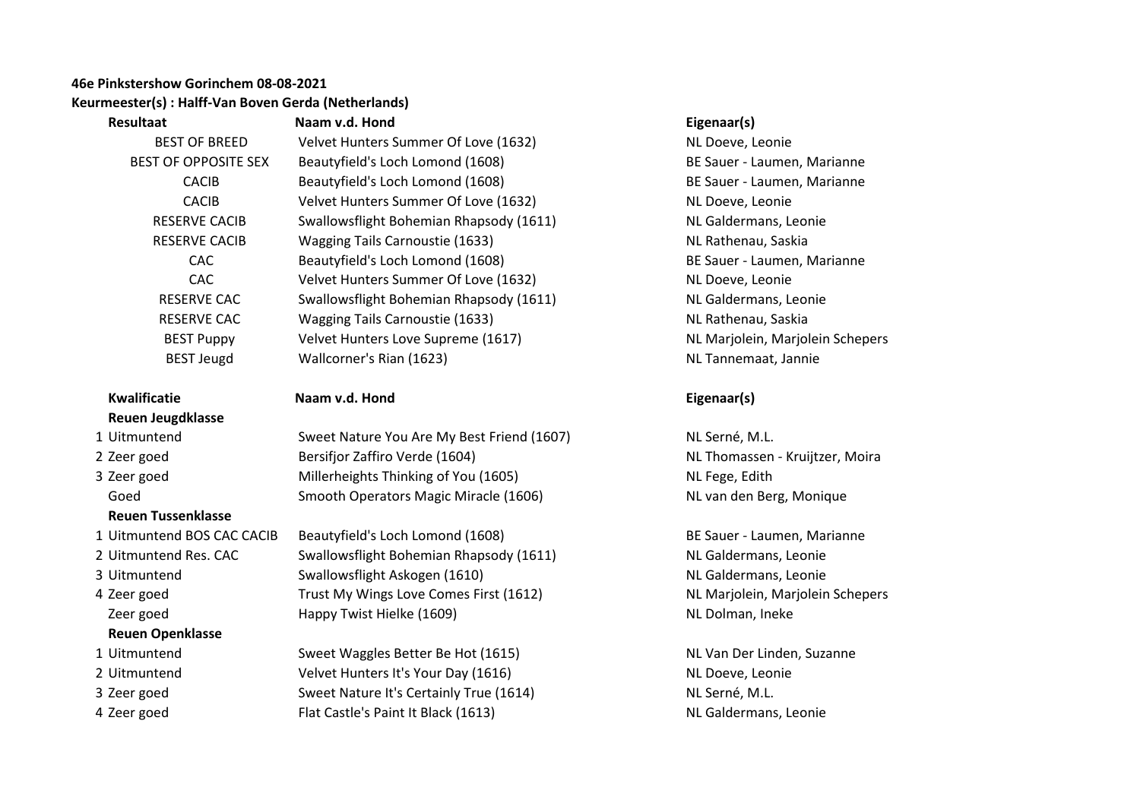## **46e Pinkstershow Gorinchem 08-08-2021 Keurmeester(s) : Halff-Van Boven Gerda (Netherlands)**

| Resultaat                   | Naam v.d. Hond                          | Eigenaar(s)       |
|-----------------------------|-----------------------------------------|-------------------|
| <b>BEST OF BREED</b>        | Velvet Hunters Summer Of Love (1632)    | NL Doeve, I       |
| <b>BEST OF OPPOSITE SEX</b> | Beautyfield's Loch Lomond (1608)        | BE Sauer - I      |
| <b>CACIB</b>                | Beautyfield's Loch Lomond (1608)        | BE Sauer - I      |
| <b>CACIB</b>                | Velvet Hunters Summer Of Love (1632)    | NL Doeve, I       |
| <b>RESERVE CACIB</b>        | Swallowsflight Bohemian Rhapsody (1611) | <b>NL</b> Galdern |
| <b>RESERVE CACIB</b>        | <b>Wagging Tails Carnoustie (1633)</b>  | <b>NL Rathena</b> |
| CAC                         | Beautyfield's Loch Lomond (1608)        | BE Sauer - I      |
| CAC                         | Velvet Hunters Summer Of Love (1632)    | NL Doeve, I       |
| <b>RESERVE CAC</b>          | Swallowsflight Bohemian Rhapsody (1611) | <b>NL</b> Galdern |
| <b>RESERVE CAC</b>          | Wagging Tails Carnoustie (1633)         | <b>NL Rathena</b> |
| <b>BEST Puppy</b>           | Velvet Hunters Love Supreme (1617)      | <b>NL Marjole</b> |
| <b>BEST Jeugd</b>           | Wallcorner's Rian (1623)                | <b>NL</b> Tannem  |

# **Kwalificatie Naam v.d. Hond Eigenaar(s) Reuen Jeugdklasse**

**Reuen Tussenklasse**

- 
- 
- 

### **Reuen Openklasse**

- 
- 
- 
- 

nters Summer Of Love (1632) NL Doeve, Leonie BEST OF OPPOSITE SEX Beautyfield's Loch Lomond (1608) BESauer - Laumen, Marianne d's Loch Lomond (1608) **CACIB BE Sauer - Laumen, Marianne** nters Summer Of Love (1632) NE Doeve, Leonie Fight Bohemian Rhapsody (1611) NL Galdermans, Leonie Fails Carnoustie (1633) NE Rathenau, Saskia ld's Loch Lomond (1608) **CAC BE Sauer - Laumen, Marianne** nters Summer Of Love (1632) NL Doeve, Leonie Result Bohemian Rhapsody (1611) NE Galdermans, Leonie Fails Carnoustie (1633) NE Rathenau, Saskia BEST Jeugd Wallcorner's Rian (1623) NL Tannemaat, Jannie

1 Uitmuntend Sweet Nature You Are My Best Friend (1607) NL Serné, M.L. 2 Zeer goed Service Bersifjor Zaffiro Verde (1604) Number 2 2 Alexander Schwarzen - Kruijtzer, Moira 3 Zeer goed Thinking of You (1605) Nuller and the Separate Section of You (1605) Nuller heights and the Section of You (1605) Goed Smooth Operators Magic Miracle (1606) Something the Smooth Operators Magic Miracle (1606) NL van den Berg, Monique

1 Uitmuntend BOS CAC CACIB Beautyfield's Loch Lomond (1608) BE Sauer - Laumen, Marianne 2 Uitmuntend Res. CAC Swallowsflight Bohemian Rhapsody (1611) NL Galdermans, Leonie 3 Uitmuntend Swallowsflight Askogen (1610) Suitmuntend Swallowsflight Askogen (1610) 4 Zeer goed Trust My Wings Love Comes First (1612) NL Marjolein, Marjolein Schepers Zeer goed **East Accord Happy Twist Hielke (1609)** NE Dolman, Ineke NE Dolman, Ineke

1 Uitmuntend Sweet Waggles Better Be Hot (1615) NL Van Der Linden, Suzanne 2 Uitmuntend The Velvet Hunters It's Your Day (1616) NL Doeve, Leonie 3 Zeer goed Sweet Nature It's Certainly True (1614) NL Serné, M.L. 4 Zeer goed **Flat Castle's Paint It Black (1613)** NL Galdermans, Leonie

nters Love Supreme (1617) NL Mariolein, Mariolein Schepers